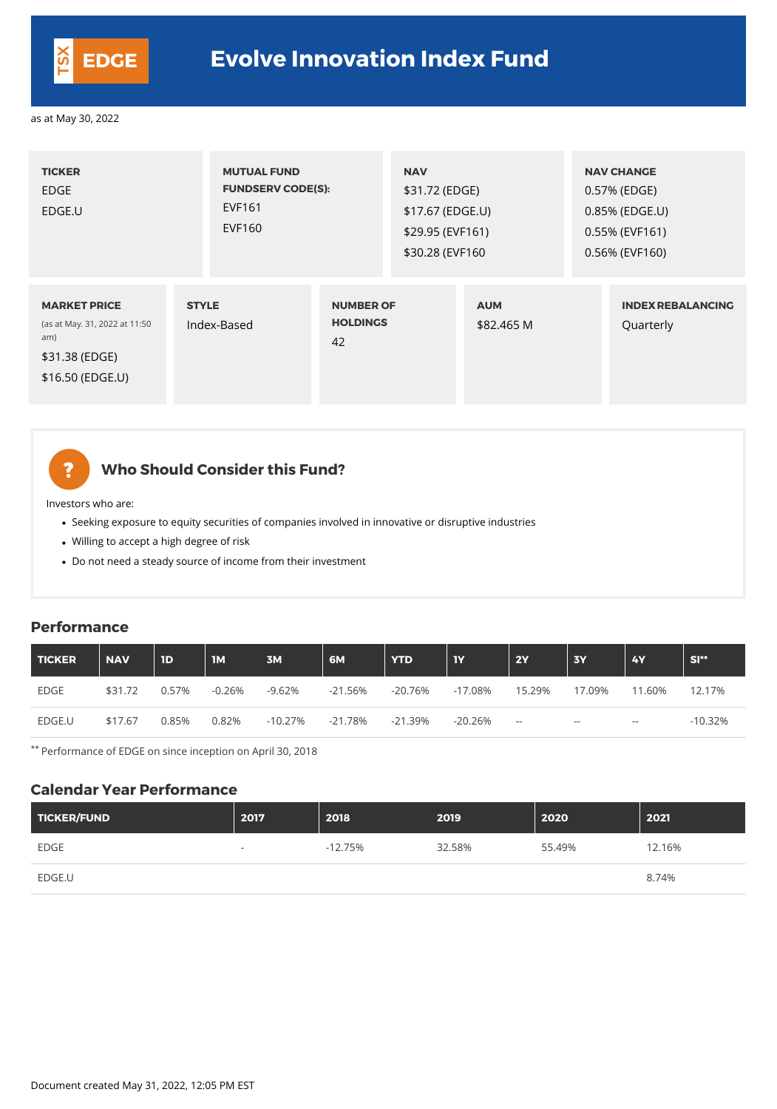| <b>TICKER</b><br><b>EDGE</b><br>EDGE.U                                                            | <b>MUTUAL FUND</b><br><b>FUNDSERV CODE(S):</b><br><b>EVF161</b><br><b>EVF160</b> |                                           | <b>NAV</b><br>\$31.72 (EDGE)<br>\$17.67 (EDGE.U)<br>\$29.95 (EVF161)<br>\$30.28 (EVF160) |                          | <b>NAV CHANGE</b><br>0.57% (EDGE)<br>0.85% (EDGE.U)<br>0.55% (EVF161)<br>0.56% (EVF160) |
|---------------------------------------------------------------------------------------------------|----------------------------------------------------------------------------------|-------------------------------------------|------------------------------------------------------------------------------------------|--------------------------|-----------------------------------------------------------------------------------------|
| <b>MARKET PRICE</b><br>(as at May. 31, 2022 at 11:50<br>am)<br>\$31.38 (EDGE)<br>\$16.50 (EDGE.U) | <b>STYLE</b><br>Index-Based                                                      | <b>NUMBER OF</b><br><b>HOLDINGS</b><br>42 |                                                                                          | <b>AUM</b><br>\$82,465 M | <b>INDEX REBALANCING</b><br>Quarterly                                                   |

## **Who Should Consider this Fund?**

Investors who are:

?

- Seeking exposure to equity securities of companies involved in innovative or disruptive industries
- Willing to accept a high degree of risk
- Do not need a steady source of income from their investment

#### **Performance**

| TICKER      | <b>NAV</b> | 1 <sub>D</sub> | <b>IM</b> | 3M        | 6M        | <b>YTD</b> | <b>TY</b>  | 2Y                       | <b>3Y</b> | <b>4Y</b>     | $SI**$     |
|-------------|------------|----------------|-----------|-----------|-----------|------------|------------|--------------------------|-----------|---------------|------------|
| <b>EDGE</b> | \$31.72    | 0.57%          | $-0.26%$  | $-9.62%$  | $-21.56%$ | $-20.76%$  | $-17.08\%$ | 15.29%                   | 17.09%    | 11.60%        | 12.17%     |
| EDGE.U      | \$17.67    | 0.85%          | 0.82%     | $-10.27%$ | $-21.78%$ | $-21.39%$  | $-20.26\%$ | $\overline{\phantom{m}}$ | $- -$     | $\sim$ $\sim$ | $-10.32\%$ |

\*\* Performance of EDGE on since inception on April 30, 2018

#### **Calendar Year Performance**

| TICKER/FUND | 2017                     | 2018      | 2019   | 2020   | 2021   |
|-------------|--------------------------|-----------|--------|--------|--------|
| <b>EDGE</b> | $\overline{\phantom{0}}$ | $-12.75%$ | 32.58% | 55.49% | 12.16% |
| EDGE.U      |                          |           |        |        | 8.74%  |



# **EDGE Evolve Innovation Index Fund**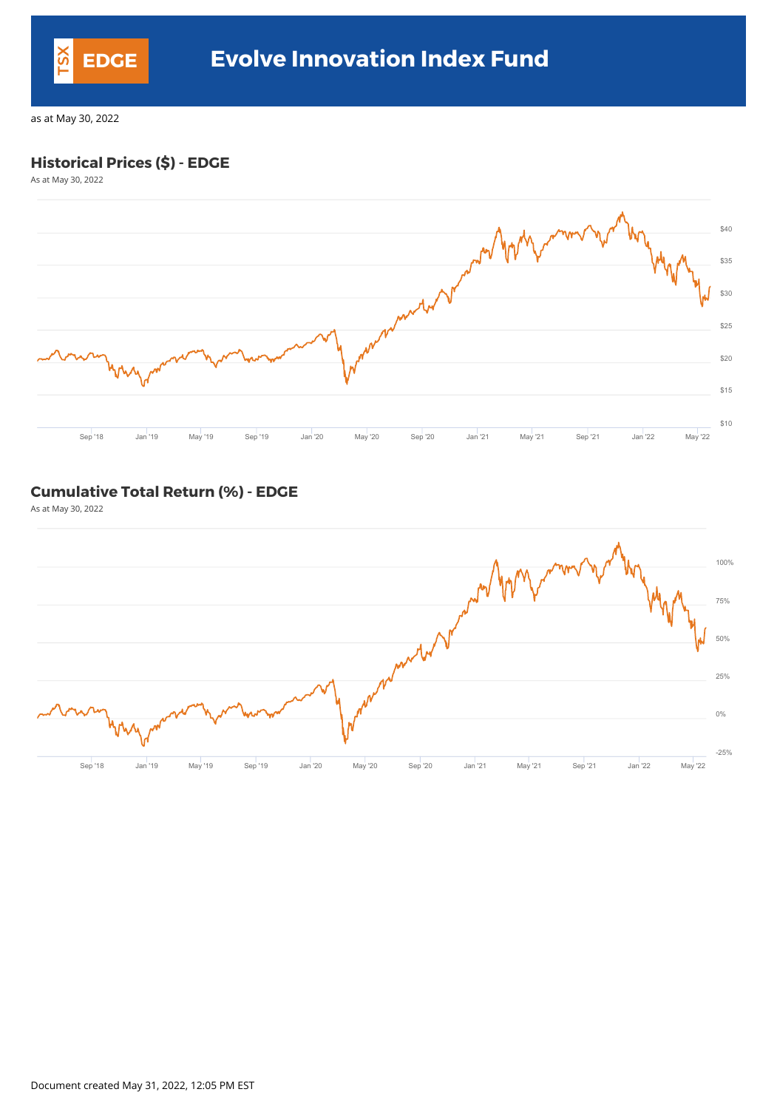#### **Historical Prices (\$) - EDGE**

As at May 30, 2022



#### **Cumulative Total Return (%) - EDGE**

As at May 30, 2022



Document created May 31, 2022, 12:05 PM EST

![](_page_1_Picture_0.jpeg)

## **EDGE Evolve Innovation Index Fund**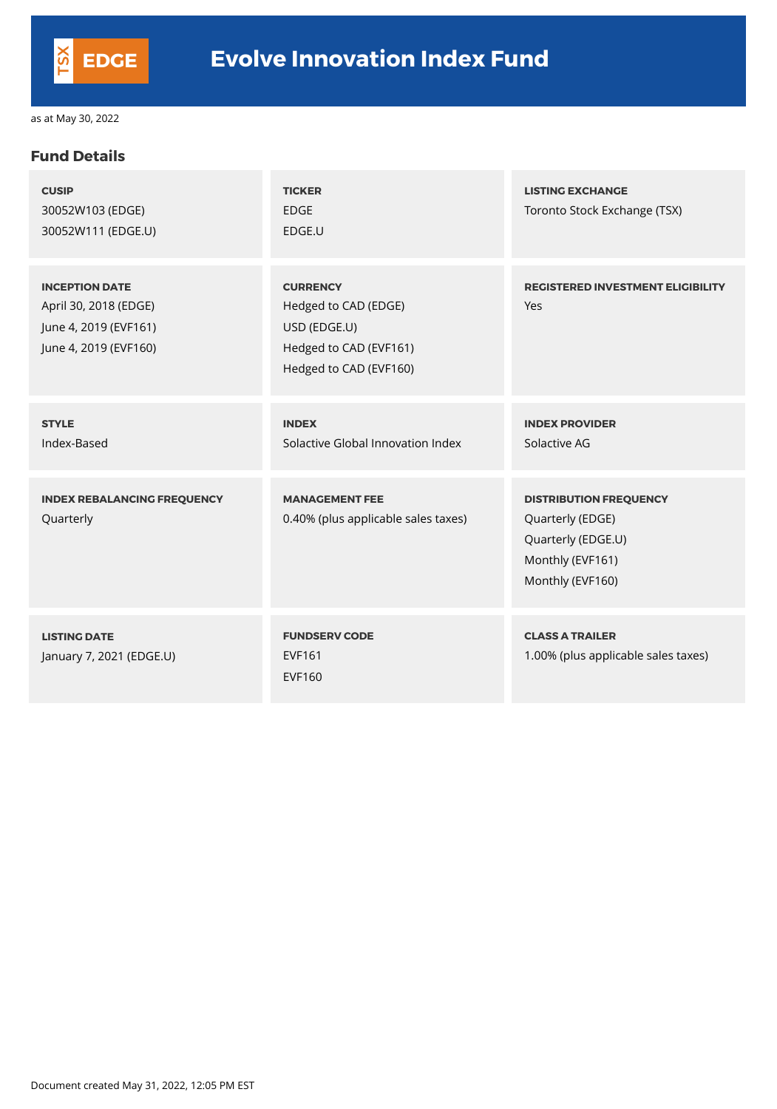#### **Fund Details**

| <b>CUSIP</b><br>30052W103 (EDGE)<br>30052W111 (EDGE.U)                                           | <b>TICKER</b><br><b>EDGE</b><br>EDGE.U                                                                      | <b>LISTING EXCHANGE</b><br>Toronto Stock Exchange (TSX)                                                         |
|--------------------------------------------------------------------------------------------------|-------------------------------------------------------------------------------------------------------------|-----------------------------------------------------------------------------------------------------------------|
| <b>INCEPTION DATE</b><br>April 30, 2018 (EDGE)<br>June 4, 2019 (EVF161)<br>June 4, 2019 (EVF160) | <b>CURRENCY</b><br>Hedged to CAD (EDGE)<br>USD (EDGE.U)<br>Hedged to CAD (EVF161)<br>Hedged to CAD (EVF160) | <b>REGISTERED INVESTMENT ELIGIBILITY</b><br>Yes                                                                 |
| <b>STYLE</b><br>Index-Based                                                                      | <b>INDEX</b><br>Solactive Global Innovation Index                                                           | <b>INDEX PROVIDER</b><br>Solactive AG                                                                           |
| <b>INDEX REBALANCING FREQUENCY</b><br>Quarterly                                                  | <b>MANAGEMENT FEE</b><br>0.40% (plus applicable sales taxes)                                                | <b>DISTRIBUTION FREQUENCY</b><br>Quarterly (EDGE)<br>Quarterly (EDGE.U)<br>Monthly (EVF161)<br>Monthly (EVF160) |
| <b>LISTING DATE</b><br>January 7, 2021 (EDGE.U)                                                  | <b>FUNDSERV CODE</b><br><b>EVF161</b><br><b>EVF160</b>                                                      | <b>CLASS A TRAILER</b><br>1.00% (plus applicable sales taxes)                                                   |

Document created May 31, 2022, 12:05 PM EST

![](_page_2_Picture_0.jpeg)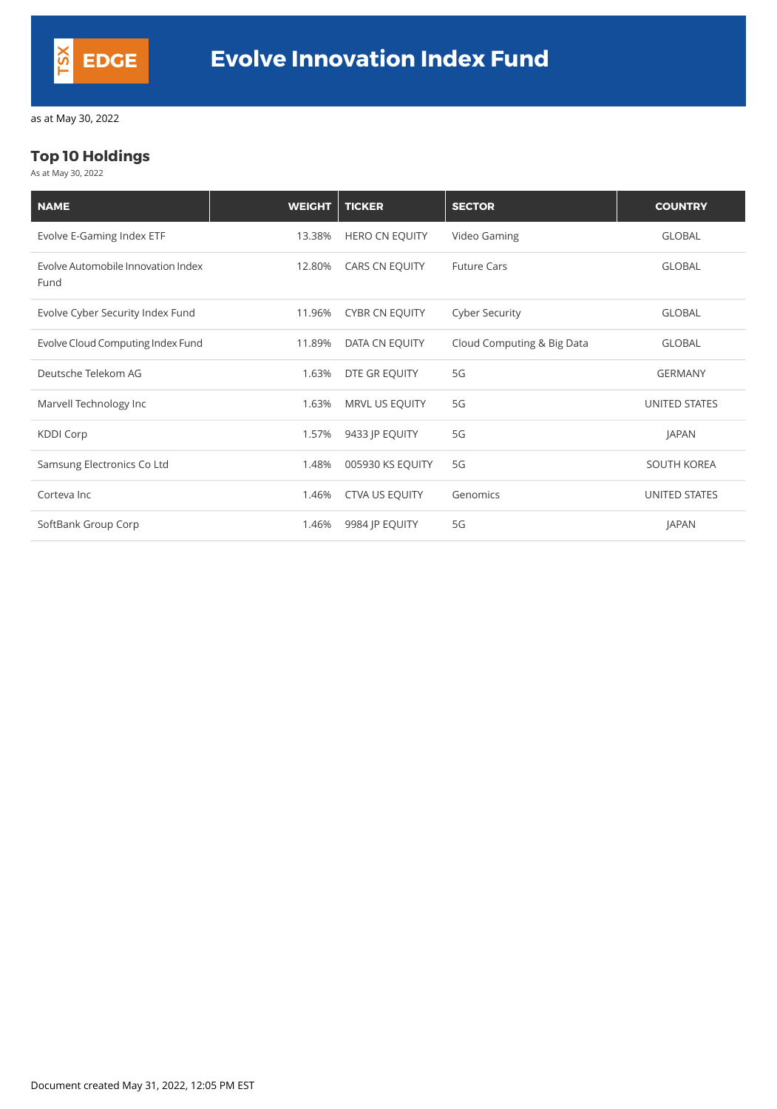## **Top 10 Holdings**

As at May 30, 2022

| <b>NAME</b>                                | <b>WEIGHT</b> | <b>TICKER</b>         | <b>SECTOR</b>              | <b>COUNTRY</b>     |
|--------------------------------------------|---------------|-----------------------|----------------------------|--------------------|
| Evolve E-Gaming Index ETF                  | 13.38%        | <b>HERO CN EQUITY</b> | Video Gaming               | <b>GLOBAL</b>      |
| Evolve Automobile Innovation Index<br>Fund | 12.80%        | CARS CN EQUITY        | <b>Future Cars</b>         | <b>GLOBAL</b>      |
| Evolve Cyber Security Index Fund           | 11.96%        | <b>CYBR CN EQUITY</b> | <b>Cyber Security</b>      | <b>GLOBAL</b>      |
| Evolve Cloud Computing Index Fund          | 11.89%        | DATA CN EQUITY        | Cloud Computing & Big Data | <b>GLOBAL</b>      |
| Deutsche Telekom AG                        | 1.63%         | DTE GR EQUITY         | 5G                         | <b>GERMANY</b>     |
| Marvell Technology Inc                     | 1.63%         | MRVL US EQUITY        | 5G                         | UNITED STATES      |
| <b>KDDI Corp</b>                           | 1.57%         | 9433 JP EQUITY        | 5G                         | <b>JAPAN</b>       |
| Samsung Electronics Co Ltd                 | 1.48%         | 005930 KS EQUITY      | 5G                         | <b>SOUTH KOREA</b> |
| Corteva Inc                                | 1.46%         | <b>CTVA US EQUITY</b> | Genomics                   | UNITED STATES      |
| SoftBank Group Corp                        | 1.46%         | 9984 JP EQUITY        | 5G                         | <b>JAPAN</b>       |

Document created May 31, 2022, 12:05 PM EST

![](_page_3_Picture_0.jpeg)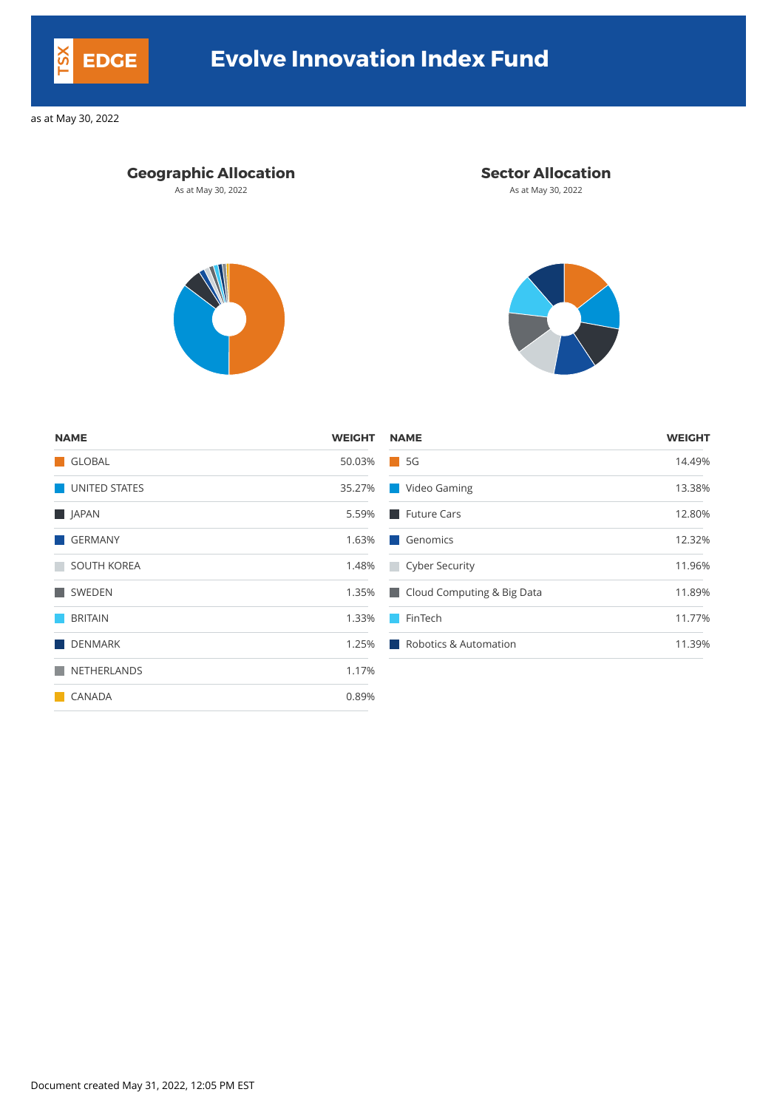| <b>NAME</b>        | <b>WEIGHT</b> | <b>NAME</b>                            | <b>WEIGHT</b> |
|--------------------|---------------|----------------------------------------|---------------|
| GLOBAL             | 50.03%        | 5G<br>a i                              | 14.49%        |
| UNITED STATES      | 35.27%        | Video Gaming<br>a a s                  | 13.38%        |
| <b>NO</b> JAPAN    | 5.59%         | Future Cars                            | 12.80%        |
| GERMANY            | 1.63%         | Genomics                               | 12.32%        |
| <b>SOUTH KOREA</b> | 1.48%         | Cyber Security                         | 11.96%        |
| SWEDEN             | 1.35%         | Cloud Computing & Big Data             | 11.89%        |
| <b>BRITAIN</b>     | 1.33%         | FinTech                                | 11.77%        |
| <b>DENMARK</b>     | 1.25%         | <b>Robotics &amp; Automation</b><br>ш. | 11.39%        |
| NETHERLANDS        | 1.17%         |                                        |               |
| <b>CANADA</b>      | 0.89%         |                                        |               |

Document created May 31, 2022, 12:05 PM EST

![](_page_4_Picture_0.jpeg)

# **EDGE Evolve Innovation Index Fund**

as at May 30, 2022

### **Geographic Allocation Sector Allocation**

As at May 30, 2022 **As at May 30, 2022** As at May 30, 2022

![](_page_4_Picture_7.jpeg)

![](_page_4_Picture_8.jpeg)